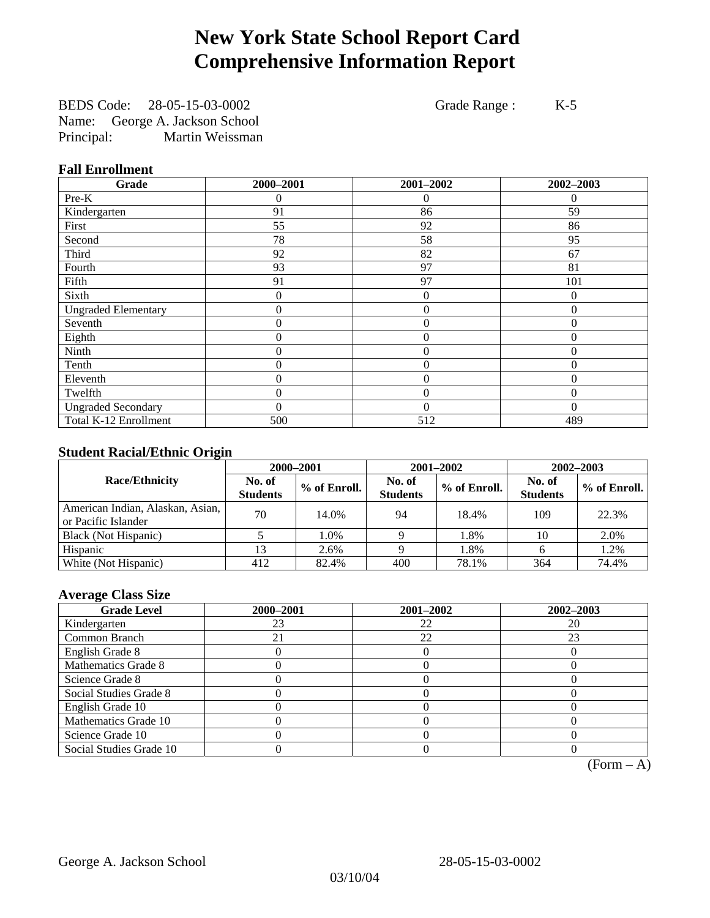# **New York State School Report Card Comprehensive Information Report**

BEDS Code: 28-05-15-03-0002 Grade Range : K-5 Name: George A. Jackson School Principal: Martin Weissman

### **Fall Enrollment**

| Grade                      | 2000-2001 | 2001-2002      | 2002-2003 |
|----------------------------|-----------|----------------|-----------|
| $Pre-K$                    | 0         | 0              | $\Omega$  |
| Kindergarten               | 91        | 86             | 59        |
| First                      | 55        | 92             | 86        |
| Second                     | 78        | 58             | 95        |
| Third                      | 92        | 82             | 67        |
| Fourth                     | 93        | 97             | 81        |
| Fifth                      | 91        | 97             | 101       |
| Sixth                      | 0         | $\theta$       | $\Omega$  |
| <b>Ungraded Elementary</b> | 0         | $\mathbf{0}$   | $\theta$  |
| Seventh                    | 0         | $\mathbf{0}$   | $\theta$  |
| Eighth                     | 0         | $\theta$       | $\theta$  |
| Ninth                      | 0         | $\theta$       | $\Omega$  |
| Tenth                      | 0         | 0              | $\theta$  |
| Eleventh                   | 0         | $\overline{0}$ | $\theta$  |
| Twelfth                    | 0         | $\overline{0}$ | $\Omega$  |
| <b>Ungraded Secondary</b>  | $\theta$  | $\theta$       | $\theta$  |
| Total K-12 Enrollment      | 500       | 512            | 489       |

### **Student Racial/Ethnic Origin**

|                                                         | 2000-2001                 |              |                           | 2001-2002    | 2002-2003                 |                |
|---------------------------------------------------------|---------------------------|--------------|---------------------------|--------------|---------------------------|----------------|
| <b>Race/Ethnicity</b>                                   | No. of<br><b>Students</b> | % of Enroll. | No. of<br><b>Students</b> | % of Enroll. | No. of<br><b>Students</b> | $%$ of Enroll. |
| American Indian, Alaskan, Asian,<br>or Pacific Islander | 70                        | 14.0%        | 94                        | 18.4%        | 109                       | 22.3%          |
| Black (Not Hispanic)                                    |                           | 1.0%         |                           | 1.8%         | 10                        | 2.0%           |
| Hispanic                                                |                           | 2.6%         |                           | 1.8%         |                           | 1.2%           |
| White (Not Hispanic)                                    | 412                       | 82.4%        | 400                       | 78.1%        | 364                       | 74.4%          |

### **Average Class Size**

| <b>Grade Level</b>      | 2000-2001 | 2001-2002 | 2002-2003 |
|-------------------------|-----------|-----------|-----------|
| Kindergarten            | 23        | 22        | 20        |
| Common Branch           |           | 22        | 23        |
| English Grade 8         |           |           |           |
| Mathematics Grade 8     |           |           |           |
| Science Grade 8         |           |           |           |
| Social Studies Grade 8  |           |           |           |
| English Grade 10        |           |           |           |
| Mathematics Grade 10    |           |           |           |
| Science Grade 10        |           |           |           |
| Social Studies Grade 10 |           |           |           |

 $(Form – A)$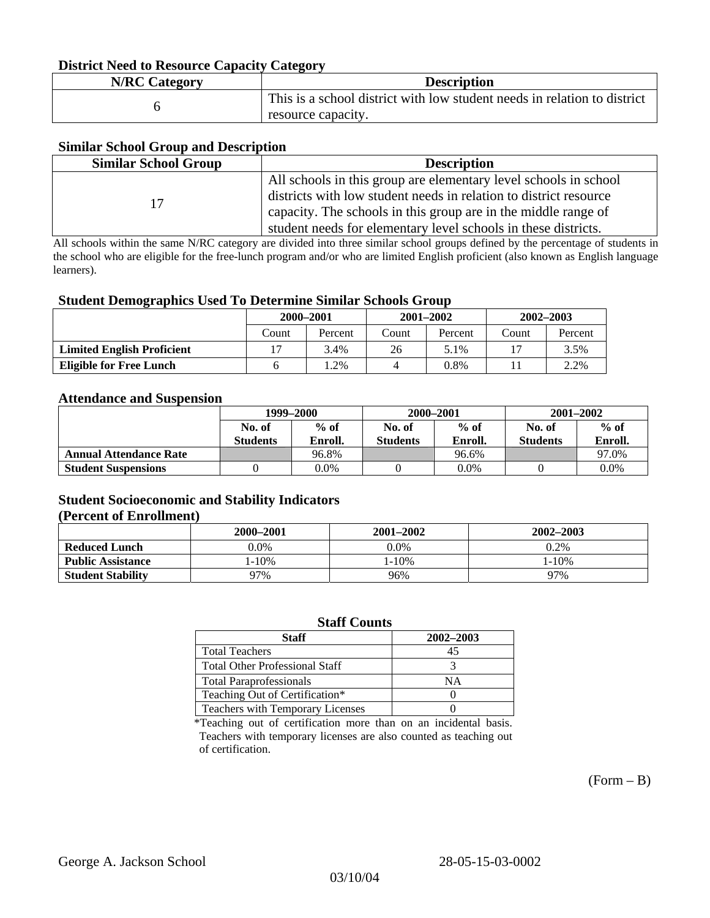#### **District Need to Resource Capacity Category**

| <b>N/RC Category</b> | <b>Description</b>                                                                             |
|----------------------|------------------------------------------------------------------------------------------------|
|                      | This is a school district with low student needs in relation to district<br>resource capacity. |

#### **Similar School Group and Description**

| <b>Similar School Group</b> | <b>Description</b>                                                |
|-----------------------------|-------------------------------------------------------------------|
|                             | All schools in this group are elementary level schools in school  |
| 17                          | districts with low student needs in relation to district resource |
|                             | capacity. The schools in this group are in the middle range of    |
|                             | student needs for elementary level schools in these districts.    |

All schools within the same N/RC category are divided into three similar school groups defined by the percentage of students in the school who are eligible for the free-lunch program and/or who are limited English proficient (also known as English language learners).

#### **Student Demographics Used To Determine Similar Schools Group**

|                                   | 2000-2001 |         | $2001 - 2002$ |         | $2002 - 2003$ |         |
|-----------------------------------|-----------|---------|---------------|---------|---------------|---------|
|                                   | Count     | Percent | Count         | Percent | Count         | Percent |
| <b>Limited English Proficient</b> |           | 3.4%    | 26            | 5.1%    |               | 3.5%    |
| Eligible for Free Lunch           |           | $.2\%$  |               | 0.8%    |               | 2.2%    |

#### **Attendance and Suspension**

|                               | 1999–2000        |         | 2000-2001        |         | $2001 - 2002$   |         |
|-------------------------------|------------------|---------|------------------|---------|-----------------|---------|
|                               | $%$ of<br>No. of |         | $%$ of<br>No. of |         | No. of          | $%$ of  |
|                               | <b>Students</b>  | Enroll. | Students         | Enroll. | <b>Students</b> | Enroll. |
| <b>Annual Attendance Rate</b> |                  | 96.8%   |                  | 96.6%   |                 | 97.0%   |
| <b>Student Suspensions</b>    |                  | 0.0%    |                  | $0.0\%$ |                 | 0.0%    |

### **Student Socioeconomic and Stability Indicators (Percent of Enrollment)**

|                          | 2000-2001  | 2001–2002  | 2002-2003 |
|--------------------------|------------|------------|-----------|
| <b>Reduced Lunch</b>     | $0.0\%$    | $0.0\%$    | 0.2%      |
| <b>Public Assistance</b> | $1 - 10\%$ | $1 - 10\%$ | $-10%$    |
| <b>Student Stability</b> | 97%        | 96%        | 97%       |

#### **Staff Counts**

| Staff                                 | 2002-2003 |
|---------------------------------------|-----------|
| <b>Total Teachers</b>                 | 45        |
| <b>Total Other Professional Staff</b> |           |
| <b>Total Paraprofessionals</b>        | NΑ        |
| Teaching Out of Certification*        |           |
| Teachers with Temporary Licenses      |           |

\*Teaching out of certification more than on an incidental basis. Teachers with temporary licenses are also counted as teaching out of certification.

 $(Form - B)$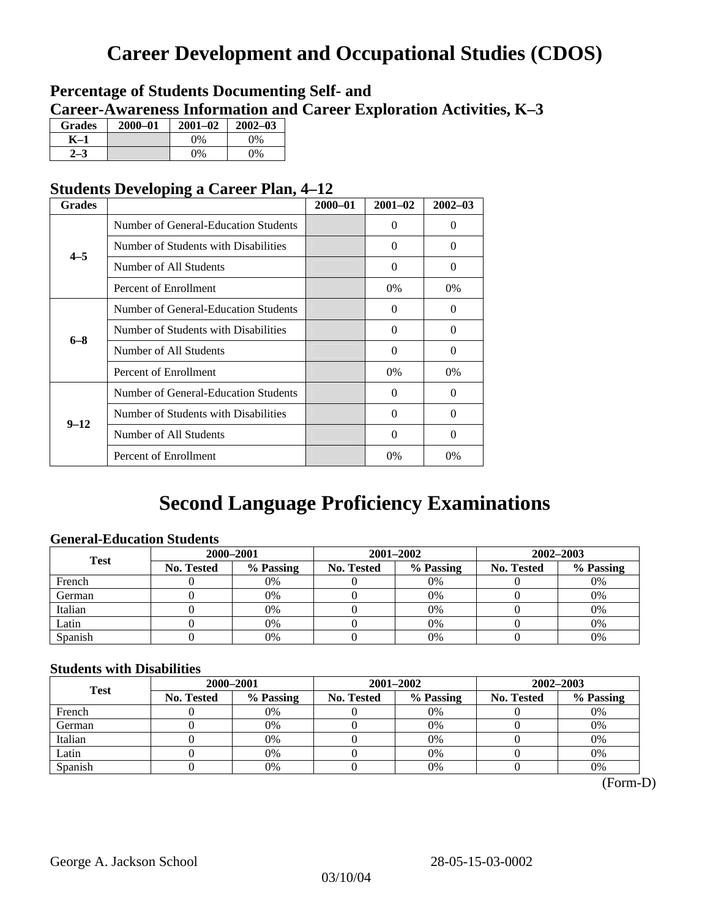# **Career Development and Occupational Studies (CDOS)**

### **Percentage of Students Documenting Self- and Career-Awareness Information and Career Exploration Activities, K–3**

| <b>Grades</b> | 2000-01 | $2001 - 02$ | $2002 - 03$ |
|---------------|---------|-------------|-------------|
| K-1           |         | $0\%$       | 0%          |
| $2 - 3$       |         | $0\%$       | $0\%$       |

### **Students Developing a Career Plan, 4–12**

| <b>Grades</b> |                                      | $2000 - 01$ | $2001 - 02$ | $2002 - 03$ |
|---------------|--------------------------------------|-------------|-------------|-------------|
|               | Number of General-Education Students |             | 0           | 0           |
| $4 - 5$       | Number of Students with Disabilities |             | $\Omega$    | 0           |
|               | Number of All Students               |             | $\Omega$    | $\theta$    |
|               | Percent of Enrollment                |             | $0\%$       | $0\%$       |
|               | Number of General-Education Students |             | 0           | 0           |
| $6 - 8$       | Number of Students with Disabilities |             | $\Omega$    | $\Omega$    |
|               | Number of All Students               |             | $\Omega$    | $\Omega$    |
|               | Percent of Enrollment                |             | 0%          | $0\%$       |
|               | Number of General-Education Students |             | 0           | 0           |
| $9 - 12$      | Number of Students with Disabilities |             | $\Omega$    | $\Omega$    |
|               | Number of All Students               |             | $\Omega$    | $\Omega$    |
|               | Percent of Enrollment                |             | $0\%$       | $0\%$       |

# **Second Language Proficiency Examinations**

### **General-Education Students**

| <b>Test</b> | 2000-2001  |           |                   | 2001-2002 | 2002-2003         |           |
|-------------|------------|-----------|-------------------|-----------|-------------------|-----------|
|             | No. Tested | % Passing | <b>No. Tested</b> | % Passing | <b>No. Tested</b> | % Passing |
| French      |            | 0%        |                   | $0\%$     |                   | 0%        |
| German      |            | 0%        |                   | 0%        |                   | 0%        |
| Italian     |            | 0%        |                   | 0%        |                   | 0%        |
| Latin       |            | 0%        |                   | $0\%$     |                   | 0%        |
| Spanish     |            | 0%        |                   | 0%        |                   | 0%        |

### **Students with Disabilities**

| <b>Test</b> | 2000-2001         |           |            | 2001-2002 | 2002-2003  |           |  |
|-------------|-------------------|-----------|------------|-----------|------------|-----------|--|
|             | <b>No. Tested</b> | % Passing | No. Tested | % Passing | No. Tested | % Passing |  |
| French      |                   | 0%        |            | 0%        |            | 0%        |  |
| German      |                   | 0%        |            | 0%        |            | 0%        |  |
| Italian     |                   | 0%        |            | 0%        |            | 0%        |  |
| Latin       |                   | 0%        |            | 0%        |            | 0%        |  |
| Spanish     |                   | 0%        |            | 0%        |            | 0%        |  |

 <sup>(</sup>Form-D)